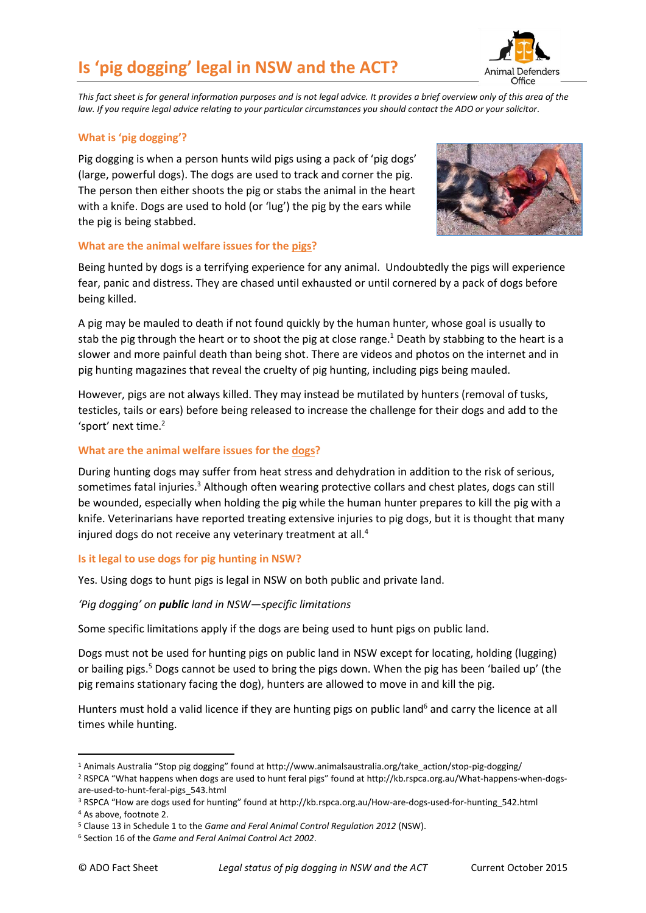# **Is 'pig dogging' legal in NSW and the ACT?**



*This fact sheet is for general information purposes and is not legal advice. It provides a brief overview only of this area of the law. If you require legal advice relating to your particular circumstances you should contact the ADO or your solicitor.*

# **What is 'pig dogging'?**

Pig dogging is when a person hunts wild pigs using a pack of 'pig dogs' (large, powerful dogs). The dogs are used to track and corner the pig. The person then either shoots the pig or stabs the animal in the heart with a knife. Dogs are used to hold (or 'lug') the pig by the ears while the pig is being stabbed.



#### **What are the animal welfare issues for the pigs?**

Being hunted by dogs is a terrifying experience for any animal. Undoubtedly the pigs will experience fear, panic and distress. They are chased until exhausted or until cornered by a pack of dogs before being killed.

A pig may be mauled to death if not found quickly by the human hunter, whose goal is usually to stab the pig through the heart or to shoot the pig at close range.<sup>1</sup> Death by stabbing to the heart is a slower and more painful death than being shot. There are videos and photos on the internet and in pig hunting magazines that reveal the cruelty of pig hunting, including pigs being mauled.

However, pigs are not always killed. They may instead be mutilated by hunters (removal of tusks, testicles, tails or ears) before being released to increase the challenge for their dogs and add to the 'sport' next time.<sup>2</sup>

#### **What are the animal welfare issues for the dogs?**

During hunting dogs may suffer from heat stress and dehydration in addition to the risk of serious, sometimes fatal injuries.<sup>3</sup> Although often wearing protective collars and chest plates, dogs can still be wounded, especially when holding the pig while the human hunter prepares to kill the pig with a knife. Veterinarians have reported treating extensive injuries to pig dogs, but it is thought that many injured dogs do not receive any veterinary treatment at all.<sup>4</sup>

### **Is it legal to use dogs for pig hunting in NSW?**

Yes. Using dogs to hunt pigs is legal in NSW on both public and private land.

### *'Pig dogging' on public land in NSW—specific limitations*

Some specific limitations apply if the dogs are being used to hunt pigs on public land.

Dogs must not be used for hunting pigs on public land in NSW except for locating, holding (lugging) or bailing pigs.<sup>5</sup> Dogs cannot be used to bring the pigs down. When the pig has been 'bailed up' (the pig remains stationary facing the dog), hunters are allowed to move in and kill the pig.

Hunters must hold a valid licence if they are hunting pigs on public land<sup>6</sup> and carry the licence at all times while hunting.

-

<sup>1</sup> Animals Australia "Stop pig dogging" found at [http://www.animalsaustralia.org/take\\_action/stop-pig-dogging/](http://www.animalsaustralia.org/take_action/stop-pig-dogging/) <sup>2</sup> RSPCA "What happens when dogs are used to hunt feral pigs" found at http://kb.rspca.org.au/What-happens-when-dogsare-used-to-hunt-feral-pigs\_543.html

<sup>3</sup> RSPCA "How are dogs used for hunting" found at http://kb.rspca.org.au/How-are-dogs-used-for-hunting\_542.html <sup>4</sup> As above, footnote 2.

<sup>5</sup> Clause 13 in Schedule 1 to the *Game and Feral Animal Control Regulation 2012* (NSW).

<sup>6</sup> Section 16 of the *Game and Feral Animal Control Act 2002*.